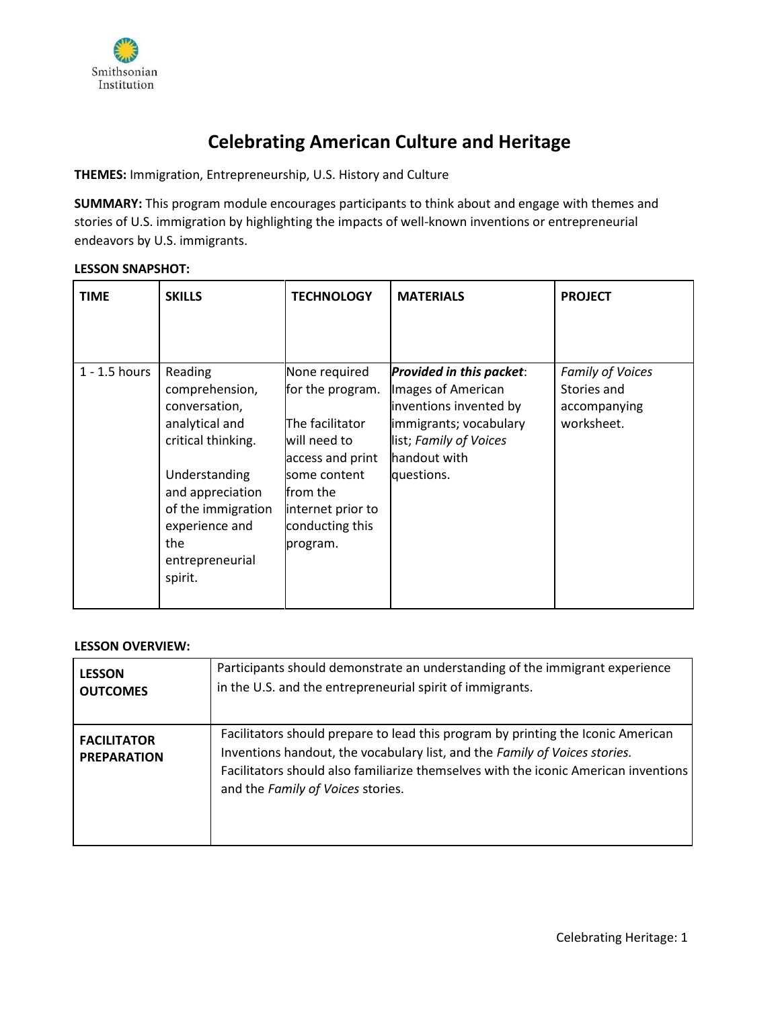

# **Celebrating American Culture and Heritage**

**THEMES:** Immigration, Entrepreneurship, U.S. History and Culture

**SUMMARY:** This program module encourages participants to think about and engage with themes and stories of U.S. immigration by highlighting the impacts of well-known inventions or entrepreneurial endeavors by U.S. immigrants.

## **LESSON SNAPSHOT:**

| <b>TIME</b>     | <b>SKILLS</b>                                                                                                                                                                                        | <b>TECHNOLOGY</b>                                                                                                                                                         | <b>MATERIALS</b>                                                                                                                                           | <b>PROJECT</b>                                                |
|-----------------|------------------------------------------------------------------------------------------------------------------------------------------------------------------------------------------------------|---------------------------------------------------------------------------------------------------------------------------------------------------------------------------|------------------------------------------------------------------------------------------------------------------------------------------------------------|---------------------------------------------------------------|
| $1 - 1.5$ hours | Reading<br>comprehension,<br>conversation,<br>analytical and<br>critical thinking.<br>Understanding<br>and appreciation<br>of the immigration<br>experience and<br>the<br>entrepreneurial<br>spirit. | None required<br>for the program.<br>The facilitator<br>will need to<br>access and print<br>some content<br>lfrom the<br>internet prior to<br>conducting this<br>program. | Provided in this packet:<br>Images of American<br>inventions invented by<br>immigrants; vocabulary<br>list; Family of Voices<br>handout with<br>questions. | Family of Voices<br>Stories and<br>accompanying<br>worksheet. |

#### **LESSON OVERVIEW:**

| <b>LESSON</b>                            | Participants should demonstrate an understanding of the immigrant experience                                                                                                                                                                                                               |
|------------------------------------------|--------------------------------------------------------------------------------------------------------------------------------------------------------------------------------------------------------------------------------------------------------------------------------------------|
| <b>OUTCOMES</b>                          | in the U.S. and the entrepreneurial spirit of immigrants.                                                                                                                                                                                                                                  |
| <b>FACILITATOR</b><br><b>PREPARATION</b> | Facilitators should prepare to lead this program by printing the Iconic American<br>Inventions handout, the vocabulary list, and the Family of Voices stories.<br>Facilitators should also familiarize themselves with the iconic American inventions<br>and the Family of Voices stories. |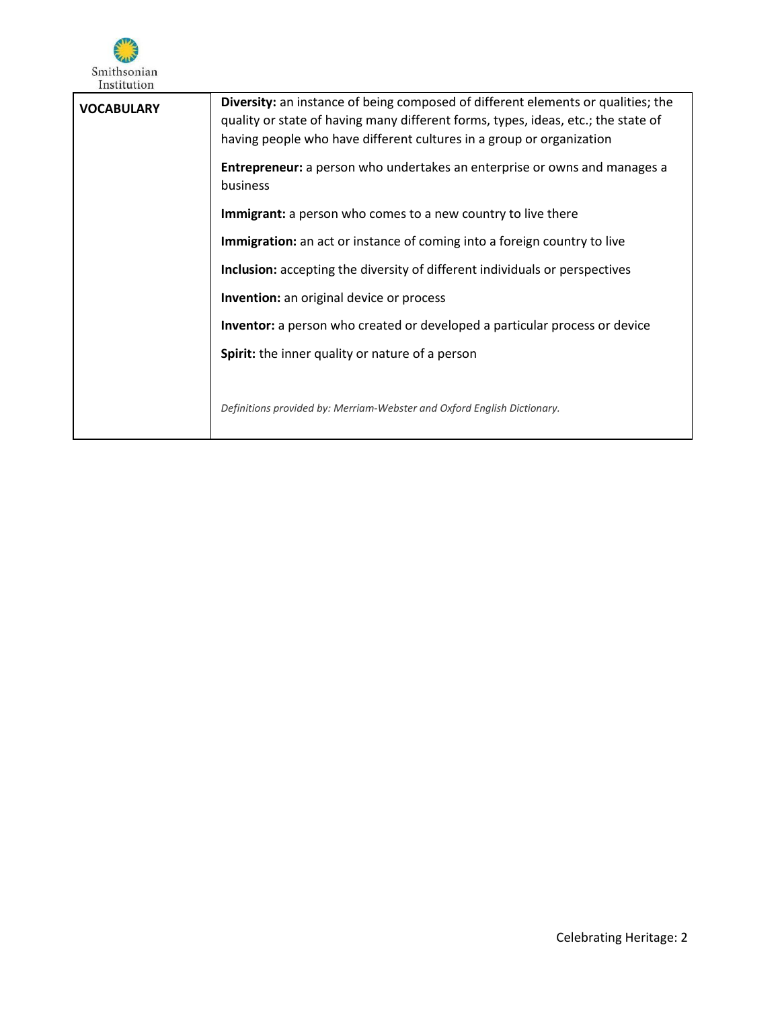

| <b>VOCABULARY</b> | <b>Diversity:</b> an instance of being composed of different elements or qualities; the<br>quality or state of having many different forms, types, ideas, etc.; the state of<br>having people who have different cultures in a group or organization |
|-------------------|------------------------------------------------------------------------------------------------------------------------------------------------------------------------------------------------------------------------------------------------------|
|                   | <b>Entrepreneur:</b> a person who undertakes an enterprise or owns and manages a<br>business                                                                                                                                                         |
|                   | <b>Immigrant:</b> a person who comes to a new country to live there                                                                                                                                                                                  |
|                   | Immigration: an act or instance of coming into a foreign country to live                                                                                                                                                                             |
|                   | Inclusion: accepting the diversity of different individuals or perspectives                                                                                                                                                                          |
|                   | Invention: an original device or process                                                                                                                                                                                                             |
|                   | Inventor: a person who created or developed a particular process or device                                                                                                                                                                           |
|                   | Spirit: the inner quality or nature of a person                                                                                                                                                                                                      |
|                   | Definitions provided by: Merriam-Webster and Oxford English Dictionary.                                                                                                                                                                              |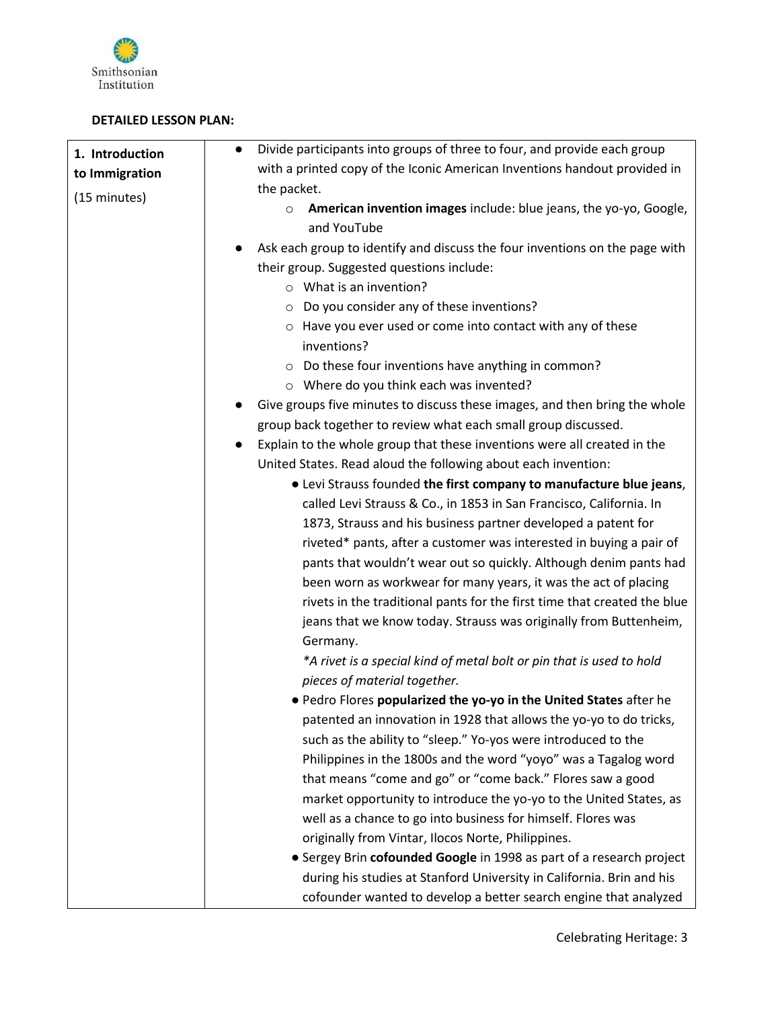

# **DETAILED LESSON PLAN:**

| 1. Introduction | Divide participants into groups of three to four, and provide each group<br>$\bullet$       |
|-----------------|---------------------------------------------------------------------------------------------|
| to Immigration  | with a printed copy of the Iconic American Inventions handout provided in                   |
|                 | the packet.                                                                                 |
| (15 minutes)    | American invention images include: blue jeans, the yo-yo, Google,<br>$\circ$<br>and YouTube |
|                 | Ask each group to identify and discuss the four inventions on the page with                 |
|                 | their group. Suggested questions include:                                                   |
|                 | $\circ$ What is an invention?                                                               |
|                 | Do you consider any of these inventions?<br>$\circ$                                         |
|                 | Have you ever used or come into contact with any of these<br>$\circ$<br>inventions?         |
|                 | $\circ$ Do these four inventions have anything in common?                                   |
|                 | o Where do you think each was invented?                                                     |
|                 | Give groups five minutes to discuss these images, and then bring the whole                  |
|                 | group back together to review what each small group discussed.                              |
|                 | Explain to the whole group that these inventions were all created in the                    |
|                 | United States. Read aloud the following about each invention:                               |
|                 | • Levi Strauss founded the first company to manufacture blue jeans,                         |
|                 | called Levi Strauss & Co., in 1853 in San Francisco, California. In                         |
|                 | 1873, Strauss and his business partner developed a patent for                               |
|                 | riveted* pants, after a customer was interested in buying a pair of                         |
|                 | pants that wouldn't wear out so quickly. Although denim pants had                           |
|                 | been worn as workwear for many years, it was the act of placing                             |
|                 | rivets in the traditional pants for the first time that created the blue                    |
|                 | jeans that we know today. Strauss was originally from Buttenheim,<br>Germany.               |
|                 | *A rivet is a special kind of metal bolt or pin that is used to hold                        |
|                 | pieces of material together.                                                                |
|                 | • Pedro Flores popularized the yo-yo in the United States after he                          |
|                 | patented an innovation in 1928 that allows the yo-yo to do tricks,                          |
|                 | such as the ability to "sleep." Yo-yos were introduced to the                               |
|                 | Philippines in the 1800s and the word "yoyo" was a Tagalog word                             |
|                 | that means "come and go" or "come back." Flores saw a good                                  |
|                 | market opportunity to introduce the yo-yo to the United States, as                          |
|                 | well as a chance to go into business for himself. Flores was                                |
|                 | originally from Vintar, Ilocos Norte, Philippines.                                          |
|                 | • Sergey Brin cofounded Google in 1998 as part of a research project                        |
|                 | during his studies at Stanford University in California. Brin and his                       |
|                 | cofounder wanted to develop a better search engine that analyzed                            |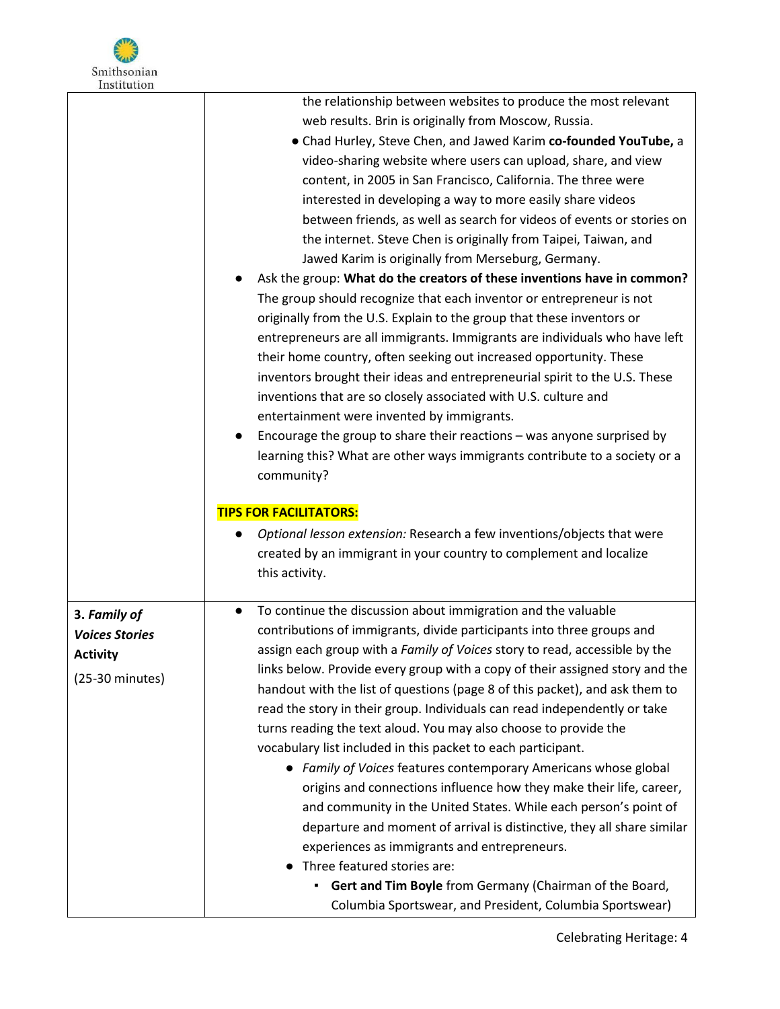

|                       | the relationship between websites to produce the most relevant                      |
|-----------------------|-------------------------------------------------------------------------------------|
|                       | web results. Brin is originally from Moscow, Russia.                                |
|                       | • Chad Hurley, Steve Chen, and Jawed Karim co-founded YouTube, a                    |
|                       | video-sharing website where users can upload, share, and view                       |
|                       | content, in 2005 in San Francisco, California. The three were                       |
|                       | interested in developing a way to more easily share videos                          |
|                       | between friends, as well as search for videos of events or stories on               |
|                       | the internet. Steve Chen is originally from Taipei, Taiwan, and                     |
|                       | Jawed Karim is originally from Merseburg, Germany.                                  |
|                       | Ask the group: What do the creators of these inventions have in common?             |
|                       | The group should recognize that each inventor or entrepreneur is not                |
|                       | originally from the U.S. Explain to the group that these inventors or               |
|                       | entrepreneurs are all immigrants. Immigrants are individuals who have left          |
|                       | their home country, often seeking out increased opportunity. These                  |
|                       | inventors brought their ideas and entrepreneurial spirit to the U.S. These          |
|                       |                                                                                     |
|                       | inventions that are so closely associated with U.S. culture and                     |
|                       | entertainment were invented by immigrants.                                          |
|                       | Encourage the group to share their reactions - was anyone surprised by              |
|                       | learning this? What are other ways immigrants contribute to a society or a          |
|                       | community?                                                                          |
|                       | <b>TIPS FOR FACILITATORS:</b>                                                       |
|                       | Optional lesson extension: Research a few inventions/objects that were<br>$\bullet$ |
|                       | created by an immigrant in your country to complement and localize                  |
|                       | this activity.                                                                      |
|                       |                                                                                     |
| 3. Family of          | To continue the discussion about immigration and the valuable<br>$\bullet$          |
| <b>Voices Stories</b> | contributions of immigrants, divide participants into three groups and              |
| <b>Activity</b>       | assign each group with a Family of Voices story to read, accessible by the          |
|                       | links below. Provide every group with a copy of their assigned story and the        |
| $(25-30$ minutes)     | handout with the list of questions (page 8 of this packet), and ask them to         |
|                       | read the story in their group. Individuals can read independently or take           |
|                       | turns reading the text aloud. You may also choose to provide the                    |
|                       | vocabulary list included in this packet to each participant.                        |
|                       | • Family of Voices features contemporary Americans whose global                     |
|                       | origins and connections influence how they make their life, career,                 |
|                       | and community in the United States. While each person's point of                    |
|                       | departure and moment of arrival is distinctive, they all share similar              |
|                       | experiences as immigrants and entrepreneurs.                                        |
|                       | • Three featured stories are:                                                       |
|                       | Gert and Tim Boyle from Germany (Chairman of the Board,<br>٠                        |
|                       | Columbia Sportswear, and President, Columbia Sportswear)                            |
|                       |                                                                                     |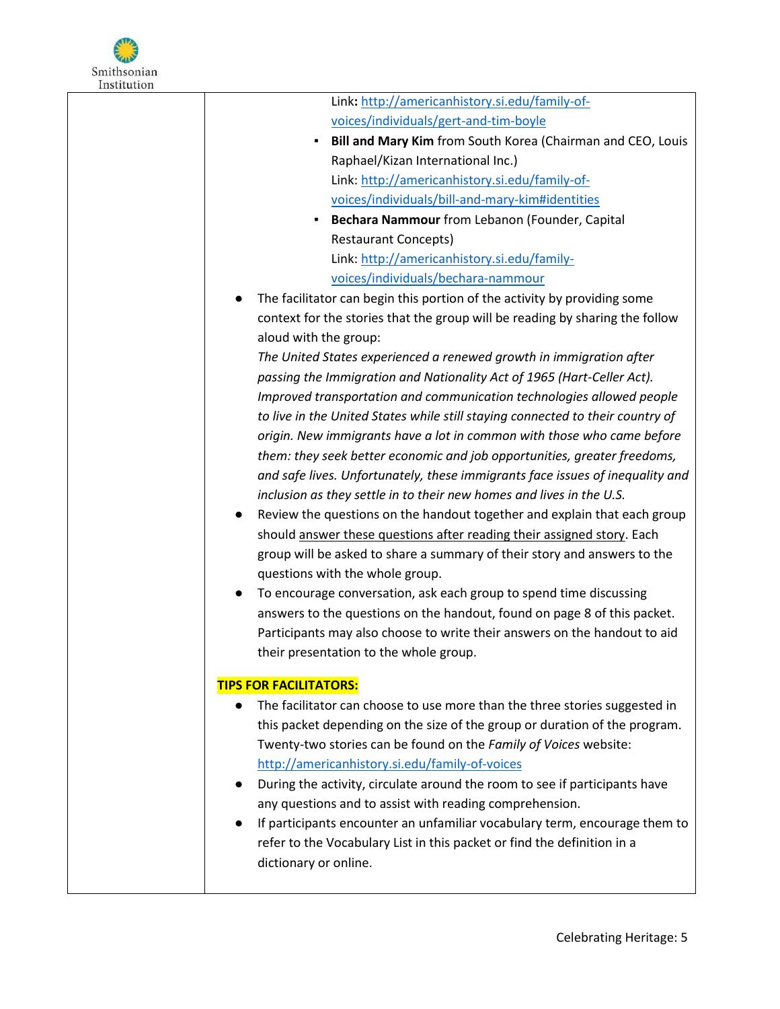

| Link: http://americanhistory.si.edu/family-of-                                                                                                 |
|------------------------------------------------------------------------------------------------------------------------------------------------|
| voices/individuals/gert-and-tim-boyle                                                                                                          |
| Bill and Mary Kim from South Korea (Chairman and CEO, Louis<br>٠                                                                               |
| Raphael/Kizan International Inc.)                                                                                                              |
| Link: http://americanhistory.si.edu/family-of-                                                                                                 |
| voices/individuals/bill-and-mary-kim#identities                                                                                                |
| Bechara Nammour from Lebanon (Founder, Capital<br>$\blacksquare$ .                                                                             |
| <b>Restaurant Concepts)</b>                                                                                                                    |
| Link: http://americanhistory.si.edu/family-                                                                                                    |
| voices/individuals/bechara-nammour                                                                                                             |
| The facilitator can begin this portion of the activity by providing some<br>$\bullet$                                                          |
| context for the stories that the group will be reading by sharing the follow                                                                   |
| aloud with the group:                                                                                                                          |
| The United States experienced a renewed growth in immigration after                                                                            |
| passing the Immigration and Nationality Act of 1965 (Hart-Celler Act).                                                                         |
| Improved transportation and communication technologies allowed people                                                                          |
| to live in the United States while still staying connected to their country of                                                                 |
| origin. New immigrants have a lot in common with those who came before                                                                         |
| them: they seek better economic and job opportunities, greater freedoms,                                                                       |
| and safe lives. Unfortunately, these immigrants face issues of inequality and                                                                  |
| inclusion as they settle in to their new homes and lives in the U.S.                                                                           |
| Review the questions on the handout together and explain that each group<br>$\bullet$                                                          |
| should answer these questions after reading their assigned story. Each                                                                         |
| group will be asked to share a summary of their story and answers to the                                                                       |
| questions with the whole group.                                                                                                                |
| To encourage conversation, ask each group to spend time discussing<br>$\bullet$                                                                |
| answers to the questions on the handout, found on page 8 of this packet.                                                                       |
| Participants may also choose to write their answers on the handout to aid                                                                      |
| their presentation to the whole group.                                                                                                         |
|                                                                                                                                                |
| <b>TIPS FOR FACILITATORS:</b><br>The facilitator can choose to use more than the three stories suggested in                                    |
|                                                                                                                                                |
| this packet depending on the size of the group or duration of the program.<br>Twenty-two stories can be found on the Family of Voices website: |
|                                                                                                                                                |
| http://americanhistory.si.edu/family-of-voices<br>During the activity, circulate around the room to see if participants have                   |
|                                                                                                                                                |
| any questions and to assist with reading comprehension.                                                                                        |
| If participants encounter an unfamiliar vocabulary term, encourage them to                                                                     |
| refer to the Vocabulary List in this packet or find the definition in a                                                                        |
| dictionary or online.                                                                                                                          |
|                                                                                                                                                |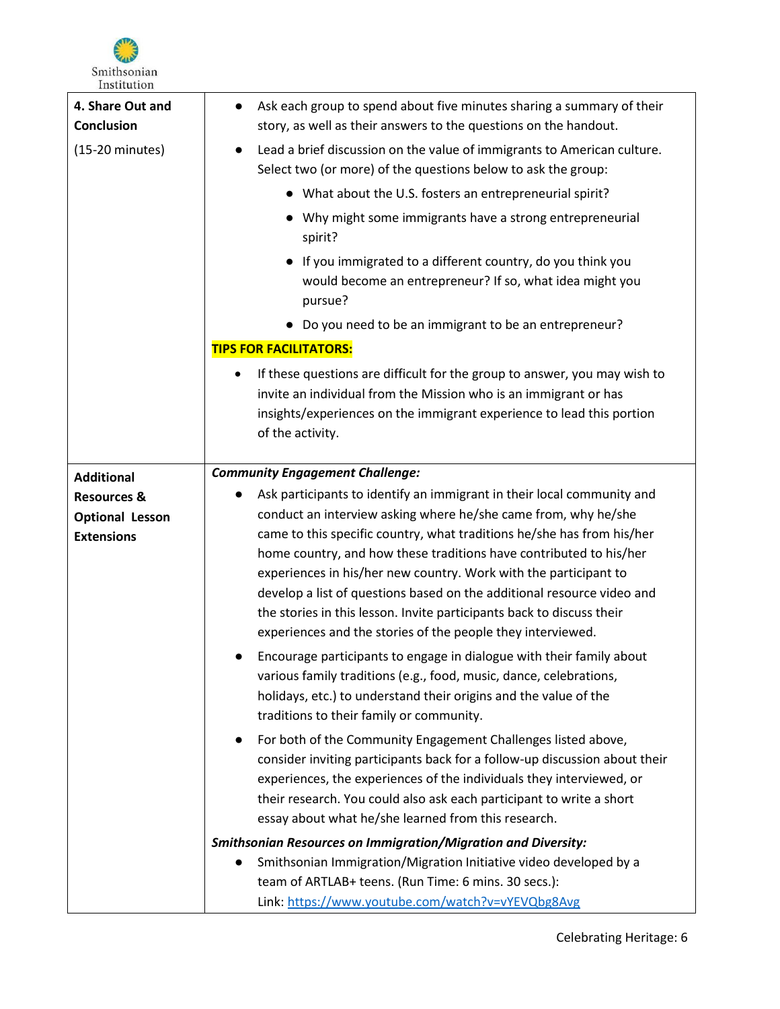

| 4. Share Out and<br><b>Conclusion</b><br>$(15-20 \text{ minutes})$ | Ask each group to spend about five minutes sharing a summary of their<br>$\bullet$<br>story, as well as their answers to the questions on the handout.<br>Lead a brief discussion on the value of immigrants to American culture.<br>$\bullet$                                                                                                                  |
|--------------------------------------------------------------------|-----------------------------------------------------------------------------------------------------------------------------------------------------------------------------------------------------------------------------------------------------------------------------------------------------------------------------------------------------------------|
|                                                                    | Select two (or more) of the questions below to ask the group:                                                                                                                                                                                                                                                                                                   |
|                                                                    | • What about the U.S. fosters an entrepreneurial spirit?                                                                                                                                                                                                                                                                                                        |
|                                                                    | • Why might some immigrants have a strong entrepreneurial<br>spirit?                                                                                                                                                                                                                                                                                            |
|                                                                    | If you immigrated to a different country, do you think you<br>would become an entrepreneur? If so, what idea might you<br>pursue?                                                                                                                                                                                                                               |
|                                                                    | Do you need to be an immigrant to be an entrepreneur?                                                                                                                                                                                                                                                                                                           |
|                                                                    | <b>TIPS FOR FACILITATORS:</b>                                                                                                                                                                                                                                                                                                                                   |
|                                                                    | If these questions are difficult for the group to answer, you may wish to<br>٠<br>invite an individual from the Mission who is an immigrant or has<br>insights/experiences on the immigrant experience to lead this portion<br>of the activity.                                                                                                                 |
| <b>Additional</b>                                                  | <b>Community Engagement Challenge:</b>                                                                                                                                                                                                                                                                                                                          |
| <b>Resources &amp;</b>                                             | Ask participants to identify an immigrant in their local community and<br>$\bullet$                                                                                                                                                                                                                                                                             |
| <b>Optional Lesson</b>                                             | conduct an interview asking where he/she came from, why he/she                                                                                                                                                                                                                                                                                                  |
| <b>Extensions</b>                                                  | came to this specific country, what traditions he/she has from his/her<br>home country, and how these traditions have contributed to his/her                                                                                                                                                                                                                    |
|                                                                    | experiences in his/her new country. Work with the participant to                                                                                                                                                                                                                                                                                                |
|                                                                    | develop a list of questions based on the additional resource video and<br>the stories in this lesson. Invite participants back to discuss their                                                                                                                                                                                                                 |
|                                                                    | experiences and the stories of the people they interviewed.                                                                                                                                                                                                                                                                                                     |
|                                                                    | Encourage participants to engage in dialogue with their family about<br>various family traditions (e.g., food, music, dance, celebrations,<br>holidays, etc.) to understand their origins and the value of the<br>traditions to their family or community.                                                                                                      |
|                                                                    | For both of the Community Engagement Challenges listed above,<br>$\bullet$<br>consider inviting participants back for a follow-up discussion about their<br>experiences, the experiences of the individuals they interviewed, or<br>their research. You could also ask each participant to write a short<br>essay about what he/she learned from this research. |
|                                                                    | <b>Smithsonian Resources on Immigration/Migration and Diversity:</b>                                                                                                                                                                                                                                                                                            |
|                                                                    | Smithsonian Immigration/Migration Initiative video developed by a<br>$\bullet$                                                                                                                                                                                                                                                                                  |
|                                                                    | team of ARTLAB+ teens. (Run Time: 6 mins. 30 secs.):                                                                                                                                                                                                                                                                                                            |
|                                                                    | Link: https://www.youtube.com/watch?v=vYEVQbg8Avg                                                                                                                                                                                                                                                                                                               |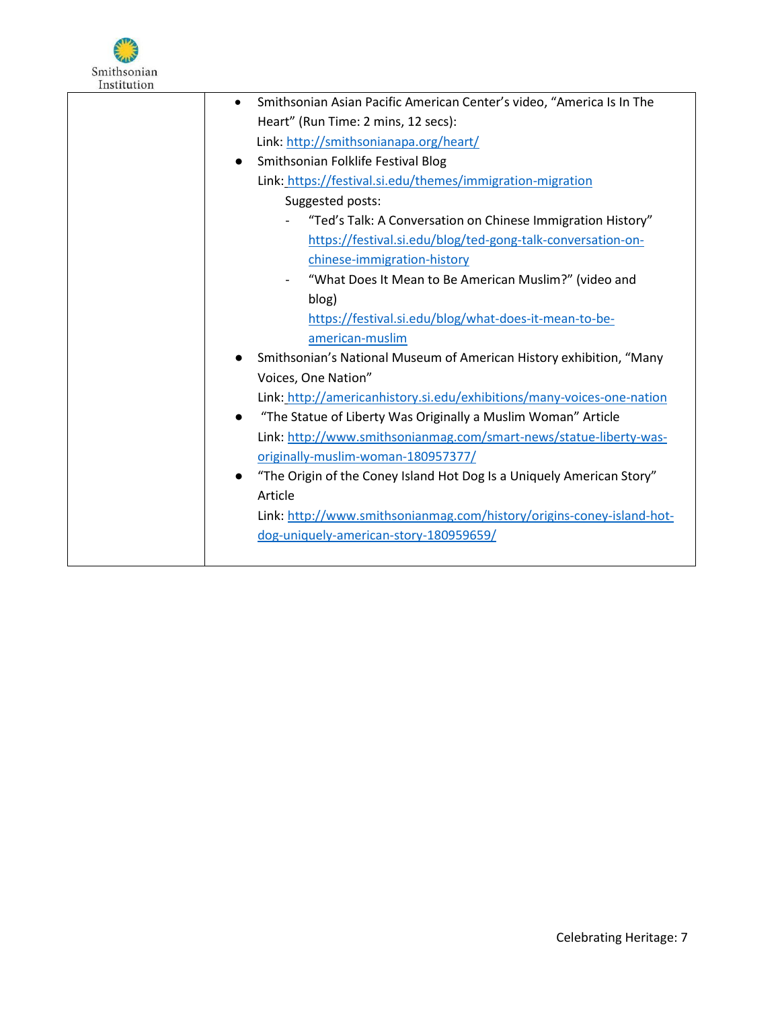

| Smithsonian Asian Pacific American Center's video, "America Is In The<br>$\bullet$ |
|------------------------------------------------------------------------------------|
| Heart" (Run Time: 2 mins, 12 secs):                                                |
| Link: http://smithsonianapa.org/heart/                                             |
| Smithsonian Folklife Festival Blog<br>$\bullet$                                    |
| Link: https://festival.si.edu/themes/immigration-migration                         |
| Suggested posts:                                                                   |
| "Ted's Talk: A Conversation on Chinese Immigration History"                        |
| https://festival.si.edu/blog/ted-gong-talk-conversation-on-                        |
| chinese-immigration-history                                                        |
| "What Does It Mean to Be American Muslim?" (video and                              |
| blog)                                                                              |
| https://festival.si.edu/blog/what-does-it-mean-to-be-                              |
| american-muslim                                                                    |
| Smithsonian's National Museum of American History exhibition, "Many                |
| Voices, One Nation"                                                                |
| Link: http://americanhistory.si.edu/exhibitions/many-voices-one-nation             |
| "The Statue of Liberty Was Originally a Muslim Woman" Article<br>$\bullet$         |
| Link: http://www.smithsonianmag.com/smart-news/statue-liberty-was-                 |
| originally-muslim-woman-180957377/                                                 |
| "The Origin of the Coney Island Hot Dog Is a Uniquely American Story"<br>$\bullet$ |
| Article                                                                            |
| Link: http://www.smithsonianmag.com/history/origins-coney-island-hot-              |
| dog-uniquely-american-story-180959659/                                             |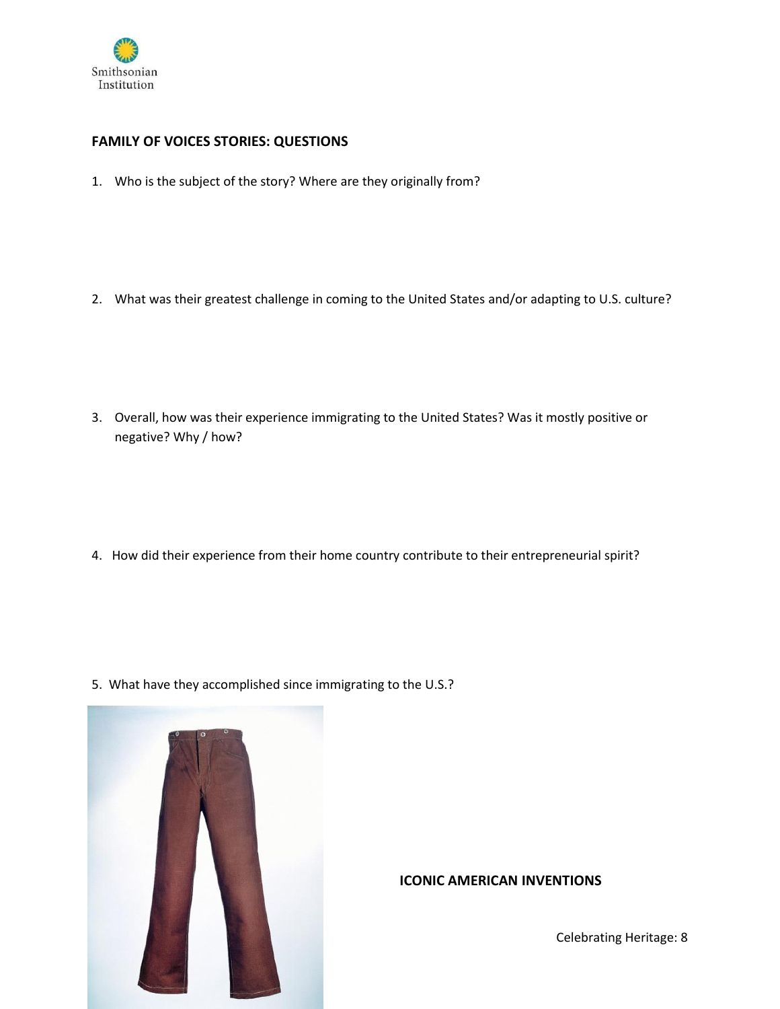

# **FAMILY OF VOICES STORIES: QUESTIONS**

1. Who is the subject of the story? Where are they originally from?

2. What was their greatest challenge in coming to the United States and/or adapting to U.S. culture?

3. Overall, how was their experience immigrating to the United States? Was it mostly positive or negative? Why / how?

4. How did their experience from their home country contribute to their entrepreneurial spirit?

5. What have they accomplished since immigrating to the U.S.?



### **ICONIC AMERICAN INVENTIONS**

Celebrating Heritage: 8